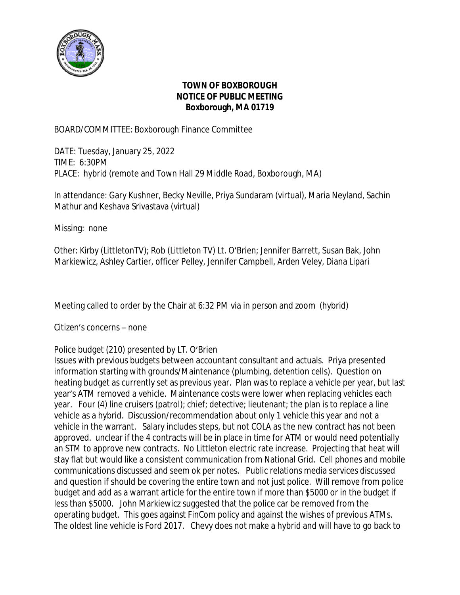

## **TOWN OF BOXBOROUGH NOTICE OF PUBLIC MEETING Boxborough, MA 01719**

BOARD/COMMITTEE: Boxborough Finance Committee

DATE: Tuesday, January 25, 2022 TIME: 6:30PM PLACE: hybrid (remote and Town Hall 29 Middle Road, Boxborough, MA)

In attendance: Gary Kushner, Becky Neville, Priya Sundaram (virtual), Maria Neyland, Sachin Mathur and Keshava Srivastava (virtual)

Missing: none

Other: Kirby (LittletonTV); Rob (Littleton TV) Lt. O'Brien; Jennifer Barrett, Susan Bak, John Markiewicz, Ashley Cartier, officer Pelley, Jennifer Campbell, Arden Veley, Diana Lipari

Meeting called to order by the Chair at 6:32 PM via in person and zoom (hybrid)

Citizen's concerns – none

## Police budget (210) presented by LT. O'Brien

Issues with previous budgets between accountant consultant and actuals. Priya presented information starting with grounds/Maintenance (plumbing, detention cells). Question on heating budget as currently set as previous year. Plan was to replace a vehicle per year, but last year's ATM removed a vehicle. Maintenance costs were lower when replacing vehicles each year. Four (4) line cruisers (patrol); chief; detective; lieutenant; the plan is to replace a line vehicle as a hybrid. Discussion/recommendation about only 1 vehicle this year and not a vehicle in the warrant. Salary includes steps, but not COLA as the new contract has not been approved. unclear if the 4 contracts will be in place in time for ATM or would need potentially an STM to approve new contracts. No Littleton electric rate increase. Projecting that heat will stay flat but would like a consistent communication from National Grid. Cell phones and mobile communications discussed and seem ok per notes. Public relations media services discussed and question if should be covering the entire town and not just police. Will remove from police budget and add as a warrant article for the entire town if more than \$5000 or in the budget if less than \$5000. John Markiewicz suggested that the police car be removed from the operating budget. This goes against FinCom policy and against the wishes of previous ATMs. The oldest line vehicle is Ford 2017. Chevy does not make a hybrid and will have to go back to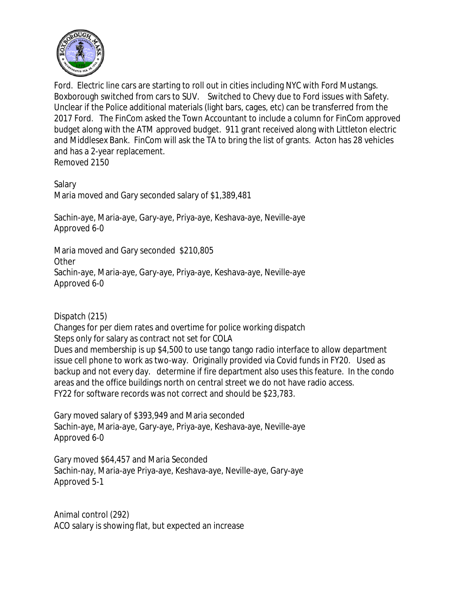

Ford. Electric line cars are starting to roll out in cities including NYC with Ford Mustangs. Boxborough switched from cars to SUV. Switched to Chevy due to Ford issues with Safety. Unclear if the Police additional materials (light bars, cages, etc) can be transferred from the 2017 Ford. The FinCom asked the Town Accountant to include a column for FinCom approved budget along with the ATM approved budget. 911 grant received along with Littleton electric and Middlesex Bank. FinCom will ask the TA to bring the list of grants. Acton has 28 vehicles and has a 2-year replacement.

Removed 2150

Salary Maria moved and Gary seconded salary of \$1,389,481

Sachin-aye, Maria-aye, Gary-aye, Priya-aye, Keshava-aye, Neville-aye Approved 6-0

Maria moved and Gary seconded \$210,805 **Other** Sachin-aye, Maria-aye, Gary-aye, Priya-aye, Keshava-aye, Neville-aye Approved 6-0

Dispatch (215)

Changes for per diem rates and overtime for police working dispatch Steps only for salary as contract not set for COLA Dues and membership is up \$4,500 to use tango tango radio interface to allow department issue cell phone to work as two-way. Originally provided via Covid funds in FY20. Used as backup and not every day. determine if fire department also uses this feature. In the condo areas and the office buildings north on central street we do not have radio access. FY22 for software records was not correct and should be \$23,783.

Gary moved salary of \$393,949 and Maria seconded Sachin-aye, Maria-aye, Gary-aye, Priya-aye, Keshava-aye, Neville-aye Approved 6-0

Gary moved \$64,457 and Maria Seconded Sachin-nay, Maria-aye Priya-aye, Keshava-aye, Neville-aye, Gary-aye Approved 5-1

Animal control (292) ACO salary is showing flat, but expected an increase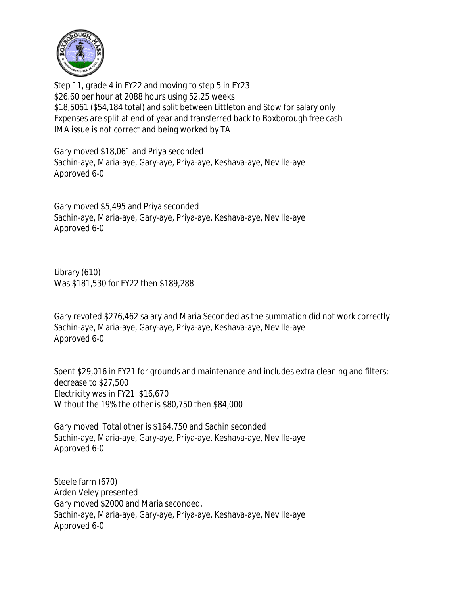

Step 11, grade 4 in FY22 and moving to step 5 in FY23 \$26.60 per hour at 2088 hours using 52.25 weeks \$18,5061 (\$54,184 total) and split between Littleton and Stow for salary only Expenses are split at end of year and transferred back to Boxborough free cash IMA issue is not correct and being worked by TA

Gary moved \$18,061 and Priya seconded Sachin-aye, Maria-aye, Gary-aye, Priya-aye, Keshava-aye, Neville-aye Approved 6-0

Gary moved \$5,495 and Priya seconded Sachin-aye, Maria-aye, Gary-aye, Priya-aye, Keshava-aye, Neville-aye Approved 6-0

Library (610) Was \$181,530 for FY22 then \$189,288

Gary revoted \$276,462 salary and Maria Seconded as the summation did not work correctly Sachin-aye, Maria-aye, Gary-aye, Priya-aye, Keshava-aye, Neville-aye Approved 6-0

Spent \$29,016 in FY21 for grounds and maintenance and includes extra cleaning and filters; decrease to \$27,500 Electricity was in FY21 \$16,670 Without the 19% the other is \$80,750 then \$84,000

Gary moved Total other is \$164,750 and Sachin seconded Sachin-aye, Maria-aye, Gary-aye, Priya-aye, Keshava-aye, Neville-aye Approved 6-0

Steele farm (670) Arden Veley presented Gary moved \$2000 and Maria seconded, Sachin-aye, Maria-aye, Gary-aye, Priya-aye, Keshava-aye, Neville-aye Approved 6-0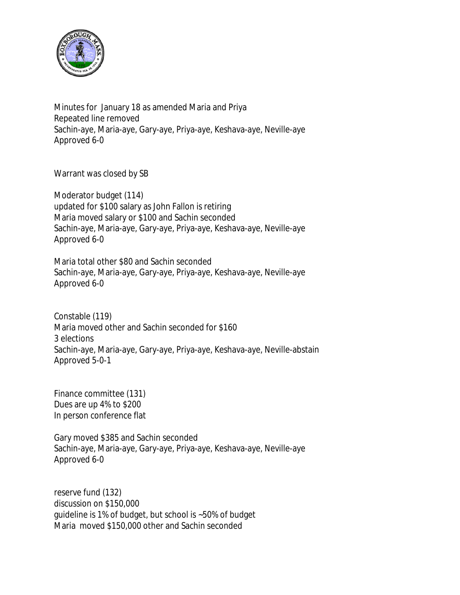

Minutes for January 18 as amended Maria and Priya Repeated line removed Sachin-aye, Maria-aye, Gary-aye, Priya-aye, Keshava-aye, Neville-aye Approved 6-0

Warrant was closed by SB

Moderator budget (114) updated for \$100 salary as John Fallon is retiring Maria moved salary or \$100 and Sachin seconded Sachin-aye, Maria-aye, Gary-aye, Priya-aye, Keshava-aye, Neville-aye Approved 6-0

Maria total other \$80 and Sachin seconded Sachin-aye, Maria-aye, Gary-aye, Priya-aye, Keshava-aye, Neville-aye Approved 6-0

Constable (119) Maria moved other and Sachin seconded for \$160 3 elections Sachin-aye, Maria-aye, Gary-aye, Priya-aye, Keshava-aye, Neville-abstain Approved 5-0-1

Finance committee (131) Dues are up 4% to \$200 In person conference flat

Gary moved \$385 and Sachin seconded Sachin-aye, Maria-aye, Gary-aye, Priya-aye, Keshava-aye, Neville-aye Approved 6-0

reserve fund (132) discussion on \$150,000 guideline is 1% of budget, but school is ~50% of budget Maria moved \$150,000 other and Sachin seconded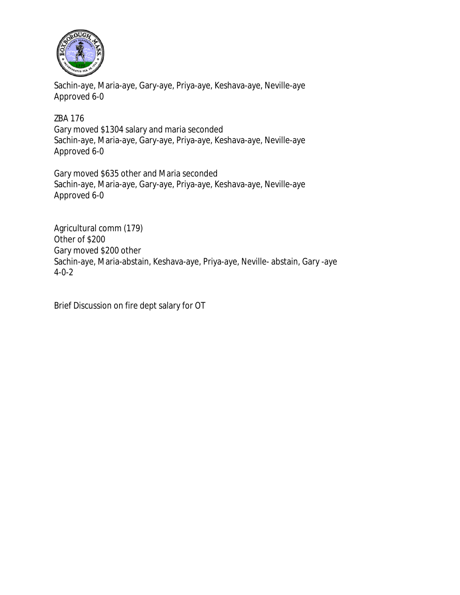

Sachin-aye, Maria-aye, Gary-aye, Priya-aye, Keshava-aye, Neville-aye Approved 6-0

ZBA 176 Gary moved \$1304 salary and maria seconded Sachin-aye, Maria-aye, Gary-aye, Priya-aye, Keshava-aye, Neville-aye Approved 6-0

Gary moved \$635 other and Maria seconded Sachin-aye, Maria-aye, Gary-aye, Priya-aye, Keshava-aye, Neville-aye Approved 6-0

Agricultural comm (179) Other of \$200 Gary moved \$200 other Sachin-aye, Maria-abstain, Keshava-aye, Priya-aye, Neville- abstain, Gary -aye 4-0-2

Brief Discussion on fire dept salary for OT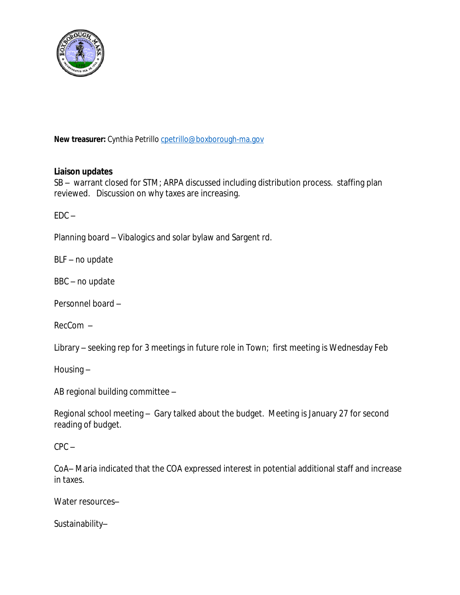

New treasurer: Cynthia Petrillo [cpetrillo@boxborough-ma.gov](mailto:cpetrillo@boxborough-ma.gov)

## **[Liaison updates](mailto:cpetrillo@boxborough-ma.gov)**

[SB](mailto:cpetrillo@boxborough-ma.gov) [–](mailto:cpetrillo@boxborough-ma.gov) [warrant closed for STM; ARPA discussed](mailto:cpetrillo@boxborough-ma.gov) [including](mailto:cpetrillo@boxborough-ma.gov) [distribution process. staffing plan](mailto:cpetrillo@boxborough-ma.gov)  [reviewed. Discussion](mailto:cpetrillo@boxborough-ma.gov) [on why taxes are increasing.](mailto:cpetrillo@boxborough-ma.gov)

 $EDC EDC -$ 

[Planning board](mailto:cpetrillo@boxborough-ma.gov) [–](mailto:cpetrillo@boxborough-ma.gov) [Vibalogics and solar bylaw and Sargent rd.](mailto:cpetrillo@boxborough-ma.gov)

[BLF](mailto:cpetrillo@boxborough-ma.gov) [–](mailto:cpetrillo@boxborough-ma.gov) [no update](mailto:cpetrillo@boxborough-ma.gov)

[BBC](mailto:cpetrillo@boxborough-ma.gov) [–](mailto:cpetrillo@boxborough-ma.gov) [no update](mailto:cpetrillo@boxborough-ma.gov)

[Personnel board](mailto:cpetrillo@boxborough-ma.gov) [–](mailto:cpetrillo@boxborough-ma.gov)

[RecCom](mailto:cpetrillo@boxborough-ma.gov) [–](mailto:cpetrillo@boxborough-ma.gov)

[Library](mailto:cpetrillo@boxborough-ma.gov) [–](mailto:cpetrillo@boxborough-ma.gov) [seeking](mailto:cpetrillo@boxborough-ma.gov) [rep for 3 meetings in future role in Town; first meeting is Wednesday Feb](mailto:cpetrillo@boxborough-ma.gov)

[Housing](mailto:cpetrillo@boxborough-ma.gov) [–](mailto:cpetrillo@boxborough-ma.gov)

[AB regional building committee](mailto:cpetrillo@boxborough-ma.gov) [–](mailto:cpetrillo@boxborough-ma.gov)

[Regional school meeting](mailto:cpetrillo@boxborough-ma.gov) [–](mailto:cpetrillo@boxborough-ma.gov) [Gary talked about the budget. Meeting is January 27 for second](mailto:cpetrillo@boxborough-ma.gov)  [reading of budget.](mailto:cpetrillo@boxborough-ma.gov) 

 $CPC CPC -$ 

[CoA](mailto:cpetrillo@boxborough-ma.gov)[–](mailto:cpetrillo@boxborough-ma.gov) [Maria indicated that the COA expressed interest in potential additional](mailto:cpetrillo@boxborough-ma.gov) [staff and increase](mailto:cpetrillo@boxborough-ma.gov)  [in taxes.](mailto:cpetrillo@boxborough-ma.gov) 

[Water resources](mailto:cpetrillo@boxborough-ma.gov)[–](mailto:cpetrillo@boxborough-ma.gov)

[Sustainability](mailto:cpetrillo@boxborough-ma.gov)[–](mailto:cpetrillo@boxborough-ma.gov)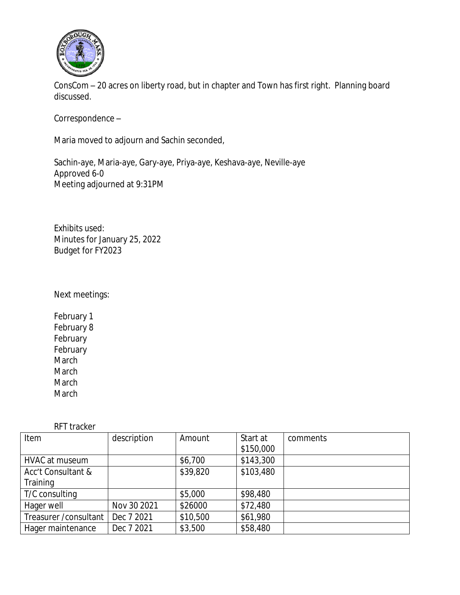

ConsCom – 20 acres on liberty road, but in chapter and Town has first right. Planning board discussed.

Correspondence –

Maria moved to adjourn and Sachin seconded,

Sachin-aye, Maria-aye, Gary-aye, Priya-aye, Keshava-aye, Neville-aye Approved 6-0 Meeting adjourned at 9:31PM

Exhibits used: Minutes for January 25, 2022 Budget for FY2023

Next meetings:

February 1 February 8 February February March March March March

RFT tracker

| Item                   | description | Amount   | Start at  | comments |
|------------------------|-------------|----------|-----------|----------|
|                        |             |          | \$150,000 |          |
| <b>HVAC at museum</b>  |             | \$6,700  | \$143,300 |          |
| Acc't Consultant &     |             | \$39,820 | \$103,480 |          |
| Training               |             |          |           |          |
| T/C consulting         |             | \$5,000  | \$98,480  |          |
| Hager well             | Nov 30 2021 | \$26000  | \$72,480  |          |
| Treasurer / consultant | Dec 7 2021  | \$10,500 | \$61,980  |          |
| Hager maintenance      | Dec 7 2021  | \$3,500  | \$58,480  |          |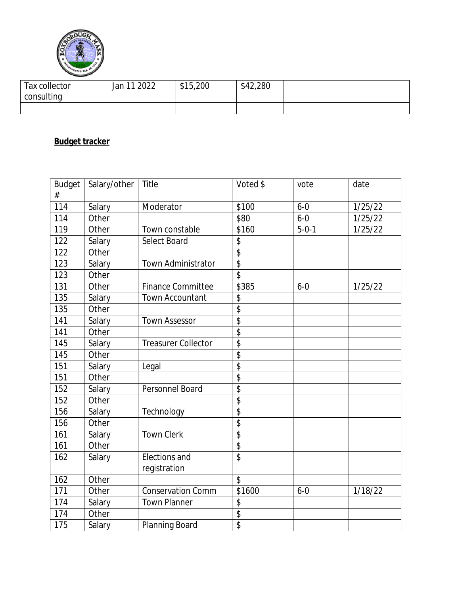

| Tax collector | 11 ว∩วว<br>Jan | \$15,200 | \$42,280 |  |
|---------------|----------------|----------|----------|--|
| consulting    |                |          |          |  |
|               |                |          |          |  |

## **Budget tracker**

| <b>Budget</b><br># | Salary/other | Title                      | Voted \$                 | vote        | date    |
|--------------------|--------------|----------------------------|--------------------------|-------------|---------|
| 114                | Salary       | Moderator                  | \$100                    | $6 - 0$     | 1/25/22 |
| 114                | Other        |                            | \$80                     | $6 - 0$     | 1/25/22 |
| 119                | Other        | Town constable             | \$160                    | $5 - 0 - 1$ | 1/25/22 |
| 122                | Salary       | Select Board               | \$                       |             |         |
| 122                | Other        |                            | \$                       |             |         |
| 123                | Salary       | Town Administrator         | $\overline{\mathcal{L}}$ |             |         |
| 123                | Other        |                            | \$                       |             |         |
| 131                | Other        | <b>Finance Committee</b>   | \$385                    | $6 - 0$     | 1/25/22 |
| 135                | Salary       | <b>Town Accountant</b>     | \$                       |             |         |
| 135                | Other        |                            | \$                       |             |         |
| 141                | Salary       | <b>Town Assessor</b>       | \$                       |             |         |
| 141                | Other        |                            | $\overline{\$}$          |             |         |
| 145                | Salary       | <b>Treasurer Collector</b> | \$                       |             |         |
| 145                | Other        |                            | \$                       |             |         |
| 151                | Salary       | Legal                      | \$                       |             |         |
| 151                | Other        |                            | $\overline{\$}$          |             |         |
| 152                | Salary       | Personnel Board            | \$                       |             |         |
| 152                | Other        |                            | \$                       |             |         |
| 156                | Salary       | Technology                 | \$                       |             |         |
| 156                | Other        |                            | \$                       |             |         |
| 161                | Salary       | <b>Town Clerk</b>          | $\overline{\$}$          |             |         |
| 161                | Other        |                            | \$                       |             |         |
| 162                | Salary       | Elections and              | \$                       |             |         |
|                    |              | registration               |                          |             |         |
| 162                | Other        |                            | \$                       |             |         |
| 171                | Other        | Conservation Comm          | \$1600                   | $6 - 0$     | 1/18/22 |
| 174                | Salary       | <b>Town Planner</b>        | \$                       |             |         |
| 174                | Other        |                            | \$                       |             |         |
| 175                | Salary       | Planning Board             | $\overline{\$}$          |             |         |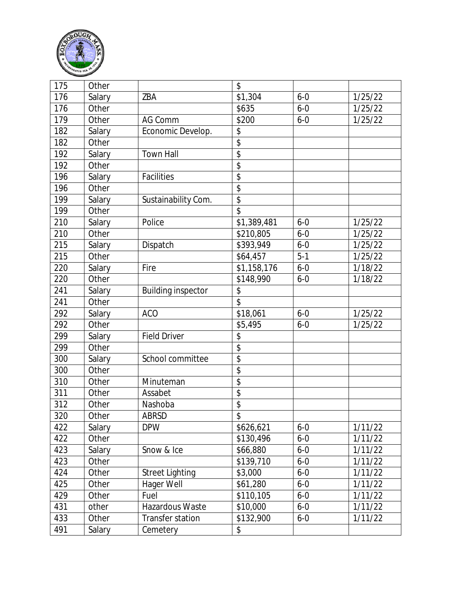

| 175 | Other  |                           | \$                       |         |         |
|-----|--------|---------------------------|--------------------------|---------|---------|
| 176 | Salary | ZBA                       | \$1,304                  | $6 - 0$ | 1/25/22 |
| 176 | Other  |                           | \$635                    | $6 - 0$ | 1/25/22 |
| 179 | Other  | AG Comm                   | \$200                    | $6 - 0$ | 1/25/22 |
| 182 | Salary | Economic Develop.         | \$                       |         |         |
| 182 | Other  |                           | $\overline{\$}$          |         |         |
| 192 | Salary | <b>Town Hall</b>          | \$                       |         |         |
| 192 | Other  |                           | \$                       |         |         |
| 196 | Salary | Facilities                | \$                       |         |         |
| 196 | Other  |                           | \$                       |         |         |
| 199 | Salary | Sustainability Com.       | \$                       |         |         |
| 199 | Other  |                           | \$                       |         |         |
| 210 | Salary | Police                    | \$1,389,481              | $6 - 0$ | 1/25/22 |
| 210 | Other  |                           | \$210,805                | $6 - 0$ | 1/25/22 |
| 215 | Salary | Dispatch                  | \$393,949                | $6 - 0$ | 1/25/22 |
| 215 | Other  |                           | \$64,457                 | $5 - 1$ | 1/25/22 |
| 220 | Salary | Fire                      | \$1,158,176              | $6 - 0$ | 1/18/22 |
| 220 | Other  |                           | \$148,990                | $6 - 0$ | 1/18/22 |
| 241 | Salary | <b>Building inspector</b> | \$                       |         |         |
| 241 | Other  |                           | $\overline{\mathcal{S}}$ |         |         |
| 292 | Salary | <b>ACO</b>                | \$18,061                 | $6 - 0$ | 1/25/22 |
| 292 | Other  |                           | \$5,495                  | $6 - 0$ | 1/25/22 |
| 299 | Salary | <b>Field Driver</b>       | \$                       |         |         |
| 299 | Other  |                           | \$                       |         |         |
| 300 | Salary | School committee          | $\overline{\$}$          |         |         |
| 300 | Other  |                           | \$                       |         |         |
| 310 | Other  | Minuteman                 | \$                       |         |         |
| 311 | Other  | Assabet                   | \$                       |         |         |
| 312 | Other  | Nashoba                   | \$                       |         |         |
| 320 | Other  | ABRSD                     | $\overline{\$}$          |         |         |
| 422 | Salary | <b>DPW</b>                | \$626,621                | $6 - 0$ | 1/11/22 |
| 422 | Other  |                           | \$130,496                | $6 - 0$ | 1/11/22 |
| 423 | Salary | Snow & Ice                | \$66,880                 | $6 - 0$ | 1/11/22 |
| 423 | Other  |                           | \$139,710                | $6 - 0$ | 1/11/22 |
| 424 | Other  | <b>Street Lighting</b>    | \$3,000                  | $6 - 0$ | 1/11/22 |
| 425 | Other  | Hager Well                | \$61,280                 | $6 - 0$ | 1/11/22 |
| 429 | Other  | Fuel                      | \$110,105                | $6 - 0$ | 1/11/22 |
| 431 | other  | Hazardous Waste           | \$10,000                 | $6 - 0$ | 1/11/22 |
| 433 | Other  | Transfer station          | \$132,900                | $6 - 0$ | 1/11/22 |
| 491 | Salary | Cemetery                  | \$                       |         |         |